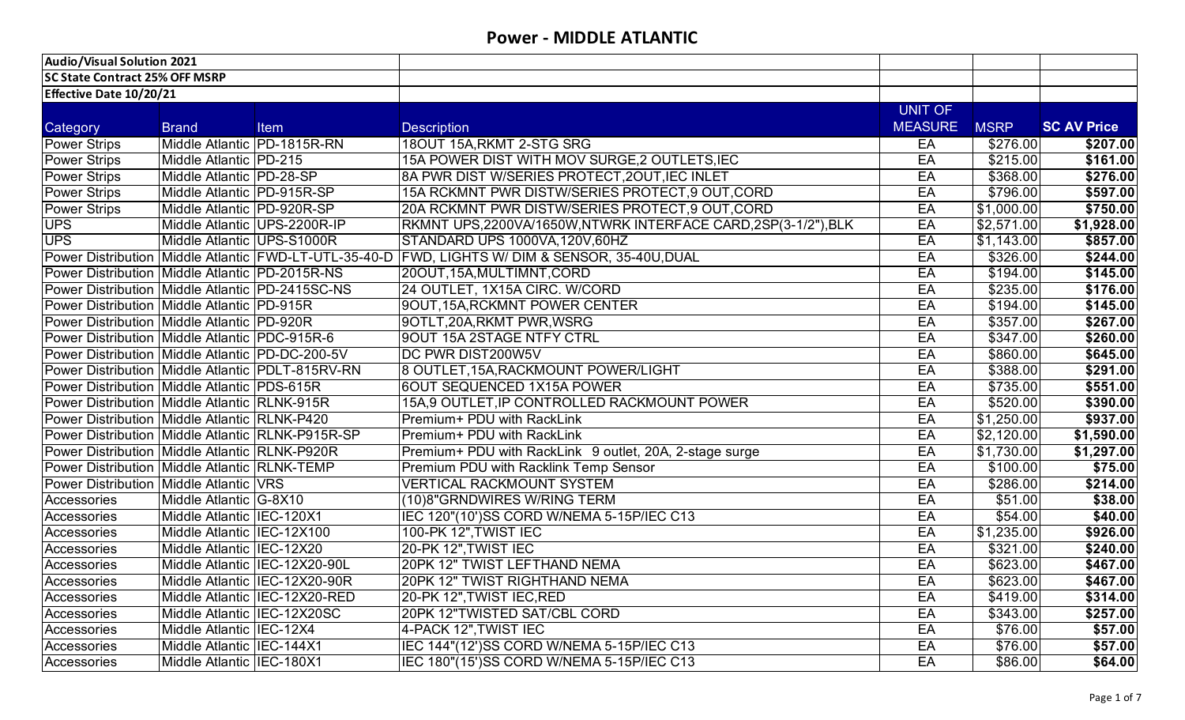| <b>Audio/Visual Solution 2021</b>                    |                              |                               |                                                                                                |                |             |                    |
|------------------------------------------------------|------------------------------|-------------------------------|------------------------------------------------------------------------------------------------|----------------|-------------|--------------------|
| <b>SC State Contract 25% OFF MSRP</b>                |                              |                               |                                                                                                |                |             |                    |
| Effective Date 10/20/21                              |                              |                               |                                                                                                |                |             |                    |
|                                                      |                              |                               |                                                                                                | UNIT OF        |             |                    |
| Category                                             | <b>Brand</b>                 | Item                          | <b>Description</b>                                                                             | <b>MEASURE</b> | <b>MSRP</b> | <b>SC AV Price</b> |
| Power Strips                                         | Middle Atlantic PD-1815R-RN  |                               | 18OUT 15A, RKMT 2-STG SRG                                                                      | EA             | \$276.00    | \$207.00           |
| Power Strips                                         | Middle Atlantic   PD-215     |                               | 15A POWER DIST WITH MOV SURGE, 2 OUTLETS, IEC                                                  | EA             | \$215.00    | \$161.00           |
| <b>Power Strips</b>                                  | Middle Atlantic PD-28-SP     |                               | 8A PWR DIST W/SERIES PROTECT, 20UT, IEC INLET                                                  | EA             | \$368.00    | \$276.00           |
| <b>Power Strips</b>                                  | Middle Atlantic PD-915R-SP   |                               | 15A RCKMNT PWR DISTW/SERIES PROTECT, 9 OUT, CORD                                               | EA             | \$796.00    | \$597.00           |
| <b>Power Strips</b>                                  | Middle Atlantic   PD-920R-SP |                               | 20A RCKMNT PWR DISTW/SERIES PROTECT, 9 OUT, CORD                                               | EA             | \$1,000.00  | \$750.00           |
| <b>UPS</b>                                           | Middle Atlantic UPS-2200R-IP |                               | RKMNT UPS,2200VA/1650W,NTWRK INTERFACE CARD,2SP(3-1/2"),BLK                                    | EA             | \$2,571.00  | \$1,928.00         |
| <b>UPS</b>                                           | Middle Atlantic UPS-S1000R   |                               | STANDARD UPS 1000VA, 120V, 60HZ                                                                | EA             | \$1,143.00  | \$857.00           |
|                                                      |                              |                               | Power Distribution Middle Atlantic FWD-LT-UTL-35-40-D FWD, LIGHTS W/ DIM & SENSOR, 35-40U,DUAL | EA             | \$326.00    | \$244.00           |
| Power Distribution Middle Atlantic PD-2015R-NS       |                              |                               | 20OUT, 15A, MULTIMNT, CORD                                                                     | EA             | \$194.00    | \$145.00           |
| Power Distribution Middle Atlantic PD-2415SC-NS      |                              |                               | 24 OUTLET, 1X15A CIRC. W/CORD                                                                  | EA             | \$235.00    | \$176.00           |
| Power Distribution Middle Atlantic PD-915R           |                              |                               | 90UT, 15A, RCKMNT POWER CENTER                                                                 | EA             | \$194.00    | \$145.00           |
| Power Distribution Middle Atlantic PD-920R           |                              |                               | 9OTLT,20A,RKMT PWR,WSRG                                                                        | EA             | \$357.00    | \$267.00           |
| Power Distribution   Middle Atlantic   PDC-915R-6    |                              |                               | 9OUT 15A 2STAGE NTFY CTRL                                                                      | EA             | \$347.00    | \$260.00           |
| Power Distribution   Middle Atlantic   PD-DC-200-5V  |                              |                               | DC PWR DIST200W5V                                                                              | EA             | \$860.00    | \$645.00           |
| Power Distribution Middle Atlantic PDLT-815RV-RN     |                              |                               | 8 OUTLET, 15A, RACKMOUNT POWER/LIGHT                                                           | EA             | \$388.00    | \$291.00           |
| Power Distribution Middle Atlantic   PDS-615R        |                              |                               | <b>6OUT SEQUENCED 1X15A POWER</b>                                                              | EA             | \$735.00    | \$551.00           |
| Power Distribution Middle Atlantic RLNK-915R         |                              |                               | 15A,9 OUTLET, IP CONTROLLED RACKMOUNT POWER                                                    | EA             | \$520.00    | \$390.00           |
| Power Distribution   Middle Atlantic   RLNK-P420     |                              |                               | Premium+ PDU with RackLink                                                                     | EA             | \$1,250.00  | \$937.00           |
| Power Distribution   Middle Atlantic   RLNK-P915R-SP |                              |                               | <b>Premium+ PDU</b> with RackLink                                                              | EA             | \$2,120.00  | $\sqrt{51,590.00}$ |
| Power Distribution   Middle Atlantic   RLNK-P920R    |                              |                               | Premium+ PDU with RackLink 9 outlet, 20A, 2-stage surge                                        | EA             | \$1,730.00  | \$1,297.00         |
| <b>Power Distribution Middle Atlantic RLNK-TEMP</b>  |                              |                               | Premium PDU with Racklink Temp Sensor                                                          | EA             | \$100.00    | \$75.00            |
| <b>Power Distribution Middle Atlantic VRS</b>        |                              |                               | <b>VERTICAL RACKMOUNT SYSTEM</b>                                                               | EA             | \$286.00    | \$214.00           |
| Accessories                                          | Middle Atlantic G-8X10       |                               | (10)8"GRNDWIRES W/RING TERM                                                                    | EA             | \$51.00     | \$38.00            |
| Accessories                                          | Middle Atlantic IEC-120X1    |                               | IEC 120"(10')SS CORD W/NEMA 5-15P/IEC C13                                                      | EA             | \$54.00     | \$40.00            |
| Accessories                                          | Middle Atlantic IEC-12X100   |                               | 100-PK 12", TWIST IEC                                                                          | EA             | \$1,235.00  | \$926.00           |
| Accessories                                          | Middle Atlantic IEC-12X20    |                               | 20-PK 12", TWIST IEC                                                                           | EA             | \$321.00    | \$240.00           |
| Accessories                                          |                              | Middle Atlantic IEC-12X20-90L | 20PK 12" TWIST LEFTHAND NEMA                                                                   | EA             | \$623.00    | \$467.00           |
| Accessories                                          |                              | Middle Atlantic IEC-12X20-90R | 20PK 12" TWIST RIGHTHAND NEMA                                                                  | EA             | \$623.00    | \$467.00           |
| Accessories                                          |                              | Middle Atlantic IEC-12X20-RED | 20-PK 12", TWIST IEC, RED                                                                      | EA             | \$419.00    | \$314.00           |
| Accessories                                          | Middle Atlantic IIEC-12X20SC |                               | 20PK 12"TWISTED SAT/CBL CORD                                                                   | EA             | \$343.00    | \$257.00           |
| Accessories                                          | Middle Atlantic IEC-12X4     |                               | 4-PACK 12", TWIST IEC                                                                          | EA             | \$76.00     | \$57.00            |
| Accessories                                          | Middle Atlantic IEC-144X1    |                               | IEC 144"(12')SS CORD W/NEMA 5-15P/IEC C13                                                      | EA             | \$76.00     | \$57.00            |
| Accessories                                          | Middle Atlantic IEC-180X1    |                               | IEC 180"(15')SS CORD W/NEMA 5-15P/IEC C13                                                      | EA             | \$86.00     | \$64.00            |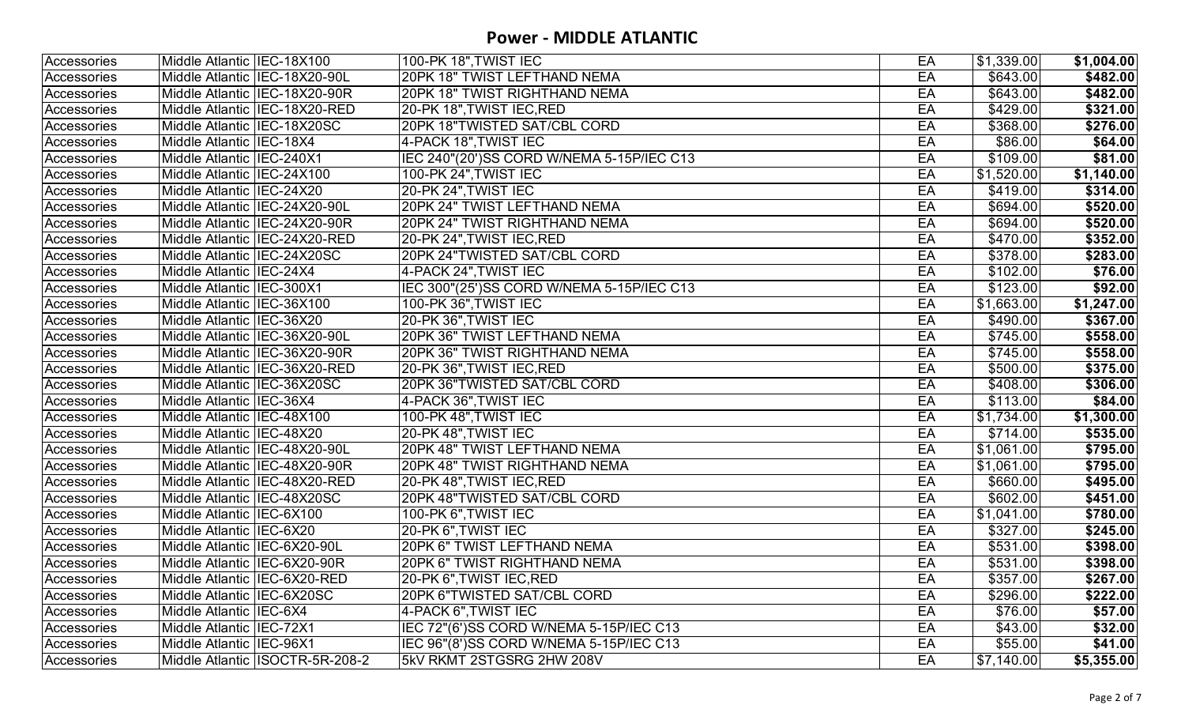| 20PK 18" TWIST LEFTHAND NEMA<br>Middle Atlantic IIEC-18X20-90L<br>EA<br>\$643.00<br>\$643.00<br>Accessories<br><b>20PK 18" TWIST RIGHTHAND NEMA</b><br>EA<br>Middle Atlantic  IEC-18X20-90R<br>20-PK 18", TWIST IEC, RED<br>EA<br>\$429.00<br>Middle Atlantic IIEC-18X20-RED<br>Accessories<br>EA<br>20PK 18"TWISTED SAT/CBL CORD<br>\$368.00<br>Middle Atlantic IIEC-18X20SC<br>Accessories<br>4-PACK 18", TWIST IEC<br>EA<br>\$86.00<br>Accessories<br>Middle Atlantic IIEC-18X4<br>\$109.00<br>IEC 240"(20')SS CORD W/NEMA 5-15P/IEC C13<br>EA<br>Middle Atlantic   IEC-240X1<br>Accessories<br>EA<br>\$1,520.00<br>100-PK 24", TWIST IEC<br>Middle Atlantic IEC-24X100<br>Accessories<br>20-PK 24", TWIST IEC<br>Middle Atlantic IIEC-24X20<br>EA<br>\$419.00<br>20PK 24" TWIST LEFTHAND NEMA<br>EA<br>\$694.00<br>Middle Atlantic IEC-24X20-90L<br>Accessories<br>\$694.00<br>Middle Atlantic IEC-24X20-90R<br>20PK 24" TWIST RIGHTHAND NEMA<br>EA<br>Accessories<br>EA<br>Middle Atlantic IIEC-24X20-RED<br>20-PK 24", TWIST IEC, RED<br>\$470.00<br>20PK 24"TWISTED SAT/CBL CORD<br>\$378.00<br>EA<br>Accessories<br>Middle Atlantic   IEC-24X20SC<br>4-PACK 24", TWIST IEC<br>EA<br>\$102.00<br>Middle Atlantic IEC-24X4<br>Accessories<br>EA<br>IEC 300"(25')SS CORD W/NEMA 5-15P/IEC C13<br>\$123.00<br>Middle Atlantic IEC-300X1<br>Accessories<br>100-PK 36", TWIST IEC<br>\$1,663.00<br>Middle Atlantic IEC-36X100<br>EA<br>Accessories<br>20-PK 36", TWIST IEC<br>EA<br>\$490.00<br>Middle Atlantic IIEC-36X20<br>Accessories<br>20PK 36" TWIST LEFTHAND NEMA<br>EA<br>\$745.00<br>Middle Atlantic IIEC-36X20-90L<br>Accessories<br><b>20PK 36" TWIST RIGHTHAND NEMA</b><br>Middle Atlantic IEC-36X20-90R<br>EA<br>\$745.00<br>Accessories<br>20-PK 36", TWIST IEC, RED<br>EA<br>\$500.00<br>Middle Atlantic IIEC-36X20-RED<br>Accessories<br>20PK 36"TWISTED SAT/CBL CORD<br>EA<br>\$408.00<br>Middle Atlantic IEC-36X20SC<br>Accessories<br>EA<br>4-PACK 36", TWIST IEC<br>\$113.00<br>Accessories<br>Middle Atlantic IIEC-36X4<br>100-PK 48", TWIST IEC<br>EA<br>\$1,734.00<br>Accessories<br>Middle Atlantic IEC-48X100<br>\$714.00<br>20-PK 48", TWIST IEC<br>EA<br>Middle Atlantic  IEC-48X20<br>Accessories<br>EA<br>20PK 48" TWIST LEFTHAND NEMA<br>\$1,061.00<br>Middle Atlantic IEC-48X20-90L<br>Accessories<br>20PK 48" TWIST RIGHTHAND NEMA<br>Middle Atlantic IEC-48X20-90R<br>EA<br>\$1,061.00<br>Accessories<br>EA<br>\$660.00<br>Middle Atlantic IIEC-48X20-RED<br>20-PK 48", TWIST IEC, RED<br>Accessories<br>20PK 48"TWISTED SAT/CBL CORD<br>\$602.00<br>EA<br>Middle Atlantic IEC-48X20SC<br>Accessories<br>100-PK 6", TWIST IEC<br>\$1,041.00<br>Middle Atlantic IIEC-6X100<br>EA<br>Accessories<br>20-PK 6", TWIST IEC<br>EA<br>\$327.00<br>Middle Atlantic  IEC-6X20<br>Accessories<br>20PK 6" TWIST LEFTHAND NEMA<br>EA<br>\$531.00<br>Middle Atlantic IEC-6X20-90L<br>Accessories<br>EA<br>20PK 6" TWIST RIGHTHAND NEMA<br>\$531.00<br>Middle Atlantic IEC-6X20-90R<br>Accessories<br>Accessories<br>\$357.00<br>Middle Atlantic IEC-6X20-RED<br>20-PK 6", TWIST IEC, RED<br>EA<br>EA<br>\$296.00<br>Middle Atlantic IIEC-6X20SC<br>20PK 6"TWISTED SAT/CBL CORD<br>4-PACK 6", TWIST IEC<br>$\overline{$}76.00$<br>Middle Atlantic IEC-6X4<br>EA<br>IEC 72"(6')SS CORD W/NEMA 5-15P/IEC C13<br>EA<br>\$43.00<br>Middle Atlantic IIEC-72X1<br>EA<br>\$55.00<br>Middle Atlantic IEC-96X1<br>IEC 96"(8')SS CORD W/NEMA 5-15P/IEC C13<br>Accessories<br>Middle Atlantic ISOCTR-5R-208-2<br>5kV RKMT 2STGSRG 2HW 208V<br>\$7,140.00<br>EA<br>Accessories | Accessories | Middle Atlantic IIEC-18X100 | 100-PK 18", TWIST IEC | EA | \$1,339.00 | \$1,004.00 |
|------------------------------------------------------------------------------------------------------------------------------------------------------------------------------------------------------------------------------------------------------------------------------------------------------------------------------------------------------------------------------------------------------------------------------------------------------------------------------------------------------------------------------------------------------------------------------------------------------------------------------------------------------------------------------------------------------------------------------------------------------------------------------------------------------------------------------------------------------------------------------------------------------------------------------------------------------------------------------------------------------------------------------------------------------------------------------------------------------------------------------------------------------------------------------------------------------------------------------------------------------------------------------------------------------------------------------------------------------------------------------------------------------------------------------------------------------------------------------------------------------------------------------------------------------------------------------------------------------------------------------------------------------------------------------------------------------------------------------------------------------------------------------------------------------------------------------------------------------------------------------------------------------------------------------------------------------------------------------------------------------------------------------------------------------------------------------------------------------------------------------------------------------------------------------------------------------------------------------------------------------------------------------------------------------------------------------------------------------------------------------------------------------------------------------------------------------------------------------------------------------------------------------------------------------------------------------------------------------------------------------------------------------------------------------------------------------------------------------------------------------------------------------------------------------------------------------------------------------------------------------------------------------------------------------------------------------------------------------------------------------------------------------------------------------------------------------------------------------------------------------------------------------------------------------------------------------------------------------------------------------------------------------------------------------------------------------------------------------------------------------------------------------------------------------------------------------------------------------------------------------------------------------------------------------------------------------------------|-------------|-----------------------------|-----------------------|----|------------|------------|
|                                                                                                                                                                                                                                                                                                                                                                                                                                                                                                                                                                                                                                                                                                                                                                                                                                                                                                                                                                                                                                                                                                                                                                                                                                                                                                                                                                                                                                                                                                                                                                                                                                                                                                                                                                                                                                                                                                                                                                                                                                                                                                                                                                                                                                                                                                                                                                                                                                                                                                                                                                                                                                                                                                                                                                                                                                                                                                                                                                                                                                                                                                                                                                                                                                                                                                                                                                                                                                                                                                                                                                                          | Accessories |                             |                       |    |            | \$482.00   |
|                                                                                                                                                                                                                                                                                                                                                                                                                                                                                                                                                                                                                                                                                                                                                                                                                                                                                                                                                                                                                                                                                                                                                                                                                                                                                                                                                                                                                                                                                                                                                                                                                                                                                                                                                                                                                                                                                                                                                                                                                                                                                                                                                                                                                                                                                                                                                                                                                                                                                                                                                                                                                                                                                                                                                                                                                                                                                                                                                                                                                                                                                                                                                                                                                                                                                                                                                                                                                                                                                                                                                                                          |             |                             |                       |    |            | \$482.00   |
|                                                                                                                                                                                                                                                                                                                                                                                                                                                                                                                                                                                                                                                                                                                                                                                                                                                                                                                                                                                                                                                                                                                                                                                                                                                                                                                                                                                                                                                                                                                                                                                                                                                                                                                                                                                                                                                                                                                                                                                                                                                                                                                                                                                                                                                                                                                                                                                                                                                                                                                                                                                                                                                                                                                                                                                                                                                                                                                                                                                                                                                                                                                                                                                                                                                                                                                                                                                                                                                                                                                                                                                          |             |                             |                       |    |            | \$321.00   |
|                                                                                                                                                                                                                                                                                                                                                                                                                                                                                                                                                                                                                                                                                                                                                                                                                                                                                                                                                                                                                                                                                                                                                                                                                                                                                                                                                                                                                                                                                                                                                                                                                                                                                                                                                                                                                                                                                                                                                                                                                                                                                                                                                                                                                                                                                                                                                                                                                                                                                                                                                                                                                                                                                                                                                                                                                                                                                                                                                                                                                                                                                                                                                                                                                                                                                                                                                                                                                                                                                                                                                                                          |             |                             |                       |    |            | \$276.00   |
|                                                                                                                                                                                                                                                                                                                                                                                                                                                                                                                                                                                                                                                                                                                                                                                                                                                                                                                                                                                                                                                                                                                                                                                                                                                                                                                                                                                                                                                                                                                                                                                                                                                                                                                                                                                                                                                                                                                                                                                                                                                                                                                                                                                                                                                                                                                                                                                                                                                                                                                                                                                                                                                                                                                                                                                                                                                                                                                                                                                                                                                                                                                                                                                                                                                                                                                                                                                                                                                                                                                                                                                          |             |                             |                       |    |            | \$64.00    |
|                                                                                                                                                                                                                                                                                                                                                                                                                                                                                                                                                                                                                                                                                                                                                                                                                                                                                                                                                                                                                                                                                                                                                                                                                                                                                                                                                                                                                                                                                                                                                                                                                                                                                                                                                                                                                                                                                                                                                                                                                                                                                                                                                                                                                                                                                                                                                                                                                                                                                                                                                                                                                                                                                                                                                                                                                                                                                                                                                                                                                                                                                                                                                                                                                                                                                                                                                                                                                                                                                                                                                                                          |             |                             |                       |    |            | \$81.00    |
|                                                                                                                                                                                                                                                                                                                                                                                                                                                                                                                                                                                                                                                                                                                                                                                                                                                                                                                                                                                                                                                                                                                                                                                                                                                                                                                                                                                                                                                                                                                                                                                                                                                                                                                                                                                                                                                                                                                                                                                                                                                                                                                                                                                                                                                                                                                                                                                                                                                                                                                                                                                                                                                                                                                                                                                                                                                                                                                                                                                                                                                                                                                                                                                                                                                                                                                                                                                                                                                                                                                                                                                          |             |                             |                       |    |            | \$1,140.00 |
|                                                                                                                                                                                                                                                                                                                                                                                                                                                                                                                                                                                                                                                                                                                                                                                                                                                                                                                                                                                                                                                                                                                                                                                                                                                                                                                                                                                                                                                                                                                                                                                                                                                                                                                                                                                                                                                                                                                                                                                                                                                                                                                                                                                                                                                                                                                                                                                                                                                                                                                                                                                                                                                                                                                                                                                                                                                                                                                                                                                                                                                                                                                                                                                                                                                                                                                                                                                                                                                                                                                                                                                          | Accessories |                             |                       |    |            | \$314.00   |
|                                                                                                                                                                                                                                                                                                                                                                                                                                                                                                                                                                                                                                                                                                                                                                                                                                                                                                                                                                                                                                                                                                                                                                                                                                                                                                                                                                                                                                                                                                                                                                                                                                                                                                                                                                                                                                                                                                                                                                                                                                                                                                                                                                                                                                                                                                                                                                                                                                                                                                                                                                                                                                                                                                                                                                                                                                                                                                                                                                                                                                                                                                                                                                                                                                                                                                                                                                                                                                                                                                                                                                                          |             |                             |                       |    |            | \$520.00   |
|                                                                                                                                                                                                                                                                                                                                                                                                                                                                                                                                                                                                                                                                                                                                                                                                                                                                                                                                                                                                                                                                                                                                                                                                                                                                                                                                                                                                                                                                                                                                                                                                                                                                                                                                                                                                                                                                                                                                                                                                                                                                                                                                                                                                                                                                                                                                                                                                                                                                                                                                                                                                                                                                                                                                                                                                                                                                                                                                                                                                                                                                                                                                                                                                                                                                                                                                                                                                                                                                                                                                                                                          |             |                             |                       |    |            | \$520.00   |
|                                                                                                                                                                                                                                                                                                                                                                                                                                                                                                                                                                                                                                                                                                                                                                                                                                                                                                                                                                                                                                                                                                                                                                                                                                                                                                                                                                                                                                                                                                                                                                                                                                                                                                                                                                                                                                                                                                                                                                                                                                                                                                                                                                                                                                                                                                                                                                                                                                                                                                                                                                                                                                                                                                                                                                                                                                                                                                                                                                                                                                                                                                                                                                                                                                                                                                                                                                                                                                                                                                                                                                                          | Accessories |                             |                       |    |            | \$352.00   |
|                                                                                                                                                                                                                                                                                                                                                                                                                                                                                                                                                                                                                                                                                                                                                                                                                                                                                                                                                                                                                                                                                                                                                                                                                                                                                                                                                                                                                                                                                                                                                                                                                                                                                                                                                                                                                                                                                                                                                                                                                                                                                                                                                                                                                                                                                                                                                                                                                                                                                                                                                                                                                                                                                                                                                                                                                                                                                                                                                                                                                                                                                                                                                                                                                                                                                                                                                                                                                                                                                                                                                                                          |             |                             |                       |    |            | \$283.00   |
|                                                                                                                                                                                                                                                                                                                                                                                                                                                                                                                                                                                                                                                                                                                                                                                                                                                                                                                                                                                                                                                                                                                                                                                                                                                                                                                                                                                                                                                                                                                                                                                                                                                                                                                                                                                                                                                                                                                                                                                                                                                                                                                                                                                                                                                                                                                                                                                                                                                                                                                                                                                                                                                                                                                                                                                                                                                                                                                                                                                                                                                                                                                                                                                                                                                                                                                                                                                                                                                                                                                                                                                          |             |                             |                       |    |            | \$76.00    |
|                                                                                                                                                                                                                                                                                                                                                                                                                                                                                                                                                                                                                                                                                                                                                                                                                                                                                                                                                                                                                                                                                                                                                                                                                                                                                                                                                                                                                                                                                                                                                                                                                                                                                                                                                                                                                                                                                                                                                                                                                                                                                                                                                                                                                                                                                                                                                                                                                                                                                                                                                                                                                                                                                                                                                                                                                                                                                                                                                                                                                                                                                                                                                                                                                                                                                                                                                                                                                                                                                                                                                                                          |             |                             |                       |    |            | \$92.00    |
|                                                                                                                                                                                                                                                                                                                                                                                                                                                                                                                                                                                                                                                                                                                                                                                                                                                                                                                                                                                                                                                                                                                                                                                                                                                                                                                                                                                                                                                                                                                                                                                                                                                                                                                                                                                                                                                                                                                                                                                                                                                                                                                                                                                                                                                                                                                                                                                                                                                                                                                                                                                                                                                                                                                                                                                                                                                                                                                                                                                                                                                                                                                                                                                                                                                                                                                                                                                                                                                                                                                                                                                          |             |                             |                       |    |            | \$1,247.00 |
|                                                                                                                                                                                                                                                                                                                                                                                                                                                                                                                                                                                                                                                                                                                                                                                                                                                                                                                                                                                                                                                                                                                                                                                                                                                                                                                                                                                                                                                                                                                                                                                                                                                                                                                                                                                                                                                                                                                                                                                                                                                                                                                                                                                                                                                                                                                                                                                                                                                                                                                                                                                                                                                                                                                                                                                                                                                                                                                                                                                                                                                                                                                                                                                                                                                                                                                                                                                                                                                                                                                                                                                          |             |                             |                       |    |            | \$367.00   |
|                                                                                                                                                                                                                                                                                                                                                                                                                                                                                                                                                                                                                                                                                                                                                                                                                                                                                                                                                                                                                                                                                                                                                                                                                                                                                                                                                                                                                                                                                                                                                                                                                                                                                                                                                                                                                                                                                                                                                                                                                                                                                                                                                                                                                                                                                                                                                                                                                                                                                                                                                                                                                                                                                                                                                                                                                                                                                                                                                                                                                                                                                                                                                                                                                                                                                                                                                                                                                                                                                                                                                                                          |             |                             |                       |    |            | \$558.00   |
|                                                                                                                                                                                                                                                                                                                                                                                                                                                                                                                                                                                                                                                                                                                                                                                                                                                                                                                                                                                                                                                                                                                                                                                                                                                                                                                                                                                                                                                                                                                                                                                                                                                                                                                                                                                                                                                                                                                                                                                                                                                                                                                                                                                                                                                                                                                                                                                                                                                                                                                                                                                                                                                                                                                                                                                                                                                                                                                                                                                                                                                                                                                                                                                                                                                                                                                                                                                                                                                                                                                                                                                          |             |                             |                       |    |            | \$558.00   |
|                                                                                                                                                                                                                                                                                                                                                                                                                                                                                                                                                                                                                                                                                                                                                                                                                                                                                                                                                                                                                                                                                                                                                                                                                                                                                                                                                                                                                                                                                                                                                                                                                                                                                                                                                                                                                                                                                                                                                                                                                                                                                                                                                                                                                                                                                                                                                                                                                                                                                                                                                                                                                                                                                                                                                                                                                                                                                                                                                                                                                                                                                                                                                                                                                                                                                                                                                                                                                                                                                                                                                                                          |             |                             |                       |    |            | \$375.00   |
|                                                                                                                                                                                                                                                                                                                                                                                                                                                                                                                                                                                                                                                                                                                                                                                                                                                                                                                                                                                                                                                                                                                                                                                                                                                                                                                                                                                                                                                                                                                                                                                                                                                                                                                                                                                                                                                                                                                                                                                                                                                                                                                                                                                                                                                                                                                                                                                                                                                                                                                                                                                                                                                                                                                                                                                                                                                                                                                                                                                                                                                                                                                                                                                                                                                                                                                                                                                                                                                                                                                                                                                          |             |                             |                       |    |            | \$306.00   |
|                                                                                                                                                                                                                                                                                                                                                                                                                                                                                                                                                                                                                                                                                                                                                                                                                                                                                                                                                                                                                                                                                                                                                                                                                                                                                                                                                                                                                                                                                                                                                                                                                                                                                                                                                                                                                                                                                                                                                                                                                                                                                                                                                                                                                                                                                                                                                                                                                                                                                                                                                                                                                                                                                                                                                                                                                                                                                                                                                                                                                                                                                                                                                                                                                                                                                                                                                                                                                                                                                                                                                                                          |             |                             |                       |    |            | \$84.00    |
|                                                                                                                                                                                                                                                                                                                                                                                                                                                                                                                                                                                                                                                                                                                                                                                                                                                                                                                                                                                                                                                                                                                                                                                                                                                                                                                                                                                                                                                                                                                                                                                                                                                                                                                                                                                                                                                                                                                                                                                                                                                                                                                                                                                                                                                                                                                                                                                                                                                                                                                                                                                                                                                                                                                                                                                                                                                                                                                                                                                                                                                                                                                                                                                                                                                                                                                                                                                                                                                                                                                                                                                          |             |                             |                       |    |            | \$1,300.00 |
|                                                                                                                                                                                                                                                                                                                                                                                                                                                                                                                                                                                                                                                                                                                                                                                                                                                                                                                                                                                                                                                                                                                                                                                                                                                                                                                                                                                                                                                                                                                                                                                                                                                                                                                                                                                                                                                                                                                                                                                                                                                                                                                                                                                                                                                                                                                                                                                                                                                                                                                                                                                                                                                                                                                                                                                                                                                                                                                                                                                                                                                                                                                                                                                                                                                                                                                                                                                                                                                                                                                                                                                          |             |                             |                       |    |            | \$535.00   |
|                                                                                                                                                                                                                                                                                                                                                                                                                                                                                                                                                                                                                                                                                                                                                                                                                                                                                                                                                                                                                                                                                                                                                                                                                                                                                                                                                                                                                                                                                                                                                                                                                                                                                                                                                                                                                                                                                                                                                                                                                                                                                                                                                                                                                                                                                                                                                                                                                                                                                                                                                                                                                                                                                                                                                                                                                                                                                                                                                                                                                                                                                                                                                                                                                                                                                                                                                                                                                                                                                                                                                                                          |             |                             |                       |    |            | \$795.00   |
|                                                                                                                                                                                                                                                                                                                                                                                                                                                                                                                                                                                                                                                                                                                                                                                                                                                                                                                                                                                                                                                                                                                                                                                                                                                                                                                                                                                                                                                                                                                                                                                                                                                                                                                                                                                                                                                                                                                                                                                                                                                                                                                                                                                                                                                                                                                                                                                                                                                                                                                                                                                                                                                                                                                                                                                                                                                                                                                                                                                                                                                                                                                                                                                                                                                                                                                                                                                                                                                                                                                                                                                          |             |                             |                       |    |            | \$795.00   |
|                                                                                                                                                                                                                                                                                                                                                                                                                                                                                                                                                                                                                                                                                                                                                                                                                                                                                                                                                                                                                                                                                                                                                                                                                                                                                                                                                                                                                                                                                                                                                                                                                                                                                                                                                                                                                                                                                                                                                                                                                                                                                                                                                                                                                                                                                                                                                                                                                                                                                                                                                                                                                                                                                                                                                                                                                                                                                                                                                                                                                                                                                                                                                                                                                                                                                                                                                                                                                                                                                                                                                                                          |             |                             |                       |    |            | \$495.00   |
|                                                                                                                                                                                                                                                                                                                                                                                                                                                                                                                                                                                                                                                                                                                                                                                                                                                                                                                                                                                                                                                                                                                                                                                                                                                                                                                                                                                                                                                                                                                                                                                                                                                                                                                                                                                                                                                                                                                                                                                                                                                                                                                                                                                                                                                                                                                                                                                                                                                                                                                                                                                                                                                                                                                                                                                                                                                                                                                                                                                                                                                                                                                                                                                                                                                                                                                                                                                                                                                                                                                                                                                          |             |                             |                       |    |            | \$451.00   |
|                                                                                                                                                                                                                                                                                                                                                                                                                                                                                                                                                                                                                                                                                                                                                                                                                                                                                                                                                                                                                                                                                                                                                                                                                                                                                                                                                                                                                                                                                                                                                                                                                                                                                                                                                                                                                                                                                                                                                                                                                                                                                                                                                                                                                                                                                                                                                                                                                                                                                                                                                                                                                                                                                                                                                                                                                                                                                                                                                                                                                                                                                                                                                                                                                                                                                                                                                                                                                                                                                                                                                                                          |             |                             |                       |    |            | \$780.00   |
|                                                                                                                                                                                                                                                                                                                                                                                                                                                                                                                                                                                                                                                                                                                                                                                                                                                                                                                                                                                                                                                                                                                                                                                                                                                                                                                                                                                                                                                                                                                                                                                                                                                                                                                                                                                                                                                                                                                                                                                                                                                                                                                                                                                                                                                                                                                                                                                                                                                                                                                                                                                                                                                                                                                                                                                                                                                                                                                                                                                                                                                                                                                                                                                                                                                                                                                                                                                                                                                                                                                                                                                          |             |                             |                       |    |            | \$245.00   |
|                                                                                                                                                                                                                                                                                                                                                                                                                                                                                                                                                                                                                                                                                                                                                                                                                                                                                                                                                                                                                                                                                                                                                                                                                                                                                                                                                                                                                                                                                                                                                                                                                                                                                                                                                                                                                                                                                                                                                                                                                                                                                                                                                                                                                                                                                                                                                                                                                                                                                                                                                                                                                                                                                                                                                                                                                                                                                                                                                                                                                                                                                                                                                                                                                                                                                                                                                                                                                                                                                                                                                                                          |             |                             |                       |    |            | \$398.00   |
|                                                                                                                                                                                                                                                                                                                                                                                                                                                                                                                                                                                                                                                                                                                                                                                                                                                                                                                                                                                                                                                                                                                                                                                                                                                                                                                                                                                                                                                                                                                                                                                                                                                                                                                                                                                                                                                                                                                                                                                                                                                                                                                                                                                                                                                                                                                                                                                                                                                                                                                                                                                                                                                                                                                                                                                                                                                                                                                                                                                                                                                                                                                                                                                                                                                                                                                                                                                                                                                                                                                                                                                          |             |                             |                       |    |            | \$398.00   |
|                                                                                                                                                                                                                                                                                                                                                                                                                                                                                                                                                                                                                                                                                                                                                                                                                                                                                                                                                                                                                                                                                                                                                                                                                                                                                                                                                                                                                                                                                                                                                                                                                                                                                                                                                                                                                                                                                                                                                                                                                                                                                                                                                                                                                                                                                                                                                                                                                                                                                                                                                                                                                                                                                                                                                                                                                                                                                                                                                                                                                                                                                                                                                                                                                                                                                                                                                                                                                                                                                                                                                                                          |             |                             |                       |    |            | \$267.00   |
|                                                                                                                                                                                                                                                                                                                                                                                                                                                                                                                                                                                                                                                                                                                                                                                                                                                                                                                                                                                                                                                                                                                                                                                                                                                                                                                                                                                                                                                                                                                                                                                                                                                                                                                                                                                                                                                                                                                                                                                                                                                                                                                                                                                                                                                                                                                                                                                                                                                                                                                                                                                                                                                                                                                                                                                                                                                                                                                                                                                                                                                                                                                                                                                                                                                                                                                                                                                                                                                                                                                                                                                          | Accessories |                             |                       |    |            | \$222.00   |
|                                                                                                                                                                                                                                                                                                                                                                                                                                                                                                                                                                                                                                                                                                                                                                                                                                                                                                                                                                                                                                                                                                                                                                                                                                                                                                                                                                                                                                                                                                                                                                                                                                                                                                                                                                                                                                                                                                                                                                                                                                                                                                                                                                                                                                                                                                                                                                                                                                                                                                                                                                                                                                                                                                                                                                                                                                                                                                                                                                                                                                                                                                                                                                                                                                                                                                                                                                                                                                                                                                                                                                                          | Accessories |                             |                       |    |            | \$57.00    |
|                                                                                                                                                                                                                                                                                                                                                                                                                                                                                                                                                                                                                                                                                                                                                                                                                                                                                                                                                                                                                                                                                                                                                                                                                                                                                                                                                                                                                                                                                                                                                                                                                                                                                                                                                                                                                                                                                                                                                                                                                                                                                                                                                                                                                                                                                                                                                                                                                                                                                                                                                                                                                                                                                                                                                                                                                                                                                                                                                                                                                                                                                                                                                                                                                                                                                                                                                                                                                                                                                                                                                                                          | Accessories |                             |                       |    |            | \$32.00    |
|                                                                                                                                                                                                                                                                                                                                                                                                                                                                                                                                                                                                                                                                                                                                                                                                                                                                                                                                                                                                                                                                                                                                                                                                                                                                                                                                                                                                                                                                                                                                                                                                                                                                                                                                                                                                                                                                                                                                                                                                                                                                                                                                                                                                                                                                                                                                                                                                                                                                                                                                                                                                                                                                                                                                                                                                                                                                                                                                                                                                                                                                                                                                                                                                                                                                                                                                                                                                                                                                                                                                                                                          |             |                             |                       |    |            | \$41.00    |
|                                                                                                                                                                                                                                                                                                                                                                                                                                                                                                                                                                                                                                                                                                                                                                                                                                                                                                                                                                                                                                                                                                                                                                                                                                                                                                                                                                                                                                                                                                                                                                                                                                                                                                                                                                                                                                                                                                                                                                                                                                                                                                                                                                                                                                                                                                                                                                                                                                                                                                                                                                                                                                                                                                                                                                                                                                                                                                                                                                                                                                                                                                                                                                                                                                                                                                                                                                                                                                                                                                                                                                                          |             |                             |                       |    |            | \$5,355.00 |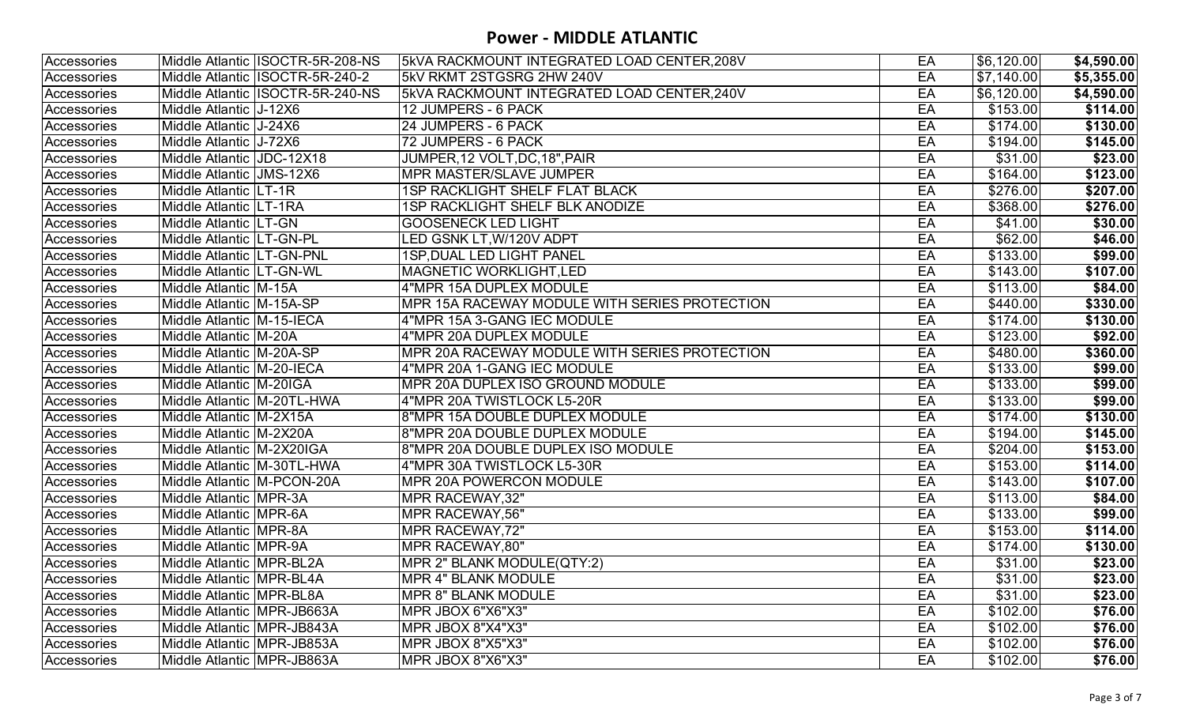| Accessories        |                             | Middle Atlantic ISOCTR-5R-208-NS  | 5kVA RACKMOUNT INTEGRATED LOAD CENTER,208V    | EA | \$6,120.00 | \$4,590.00 |
|--------------------|-----------------------------|-----------------------------------|-----------------------------------------------|----|------------|------------|
| <b>Accessories</b> |                             | Middle Atlantic   ISOCTR-5R-240-2 | 5kV RKMT 2STGSRG 2HW 240V                     | EA | \$7,140.00 | \$5,355.00 |
| Accessories        |                             | Middle Atlantic ISOCTR-5R-240-NS  | 5kVA RACKMOUNT INTEGRATED LOAD CENTER, 240V   | EA | \$6,120.00 | \$4,590.00 |
| Accessories        | Middle Atlantic J-12X6      |                                   | 12 JUMPERS - 6 PACK                           | EA | \$153.00   | \$114.00   |
| Accessories        | Middle Atlantic   J-24X6    |                                   | 24 JUMPERS - 6 PACK                           | EA | \$174.00   | \$130.00   |
| Accessories        | Middle Atlantic J-72X6      |                                   | 72 JUMPERS - 6 PACK                           | EA | \$194.00   | \$145.00   |
| Accessories        | Middle Atlantic JDC-12X18   |                                   | JUMPER, 12 VOLT, DC, 18", PAIR                | EA | \$31.00    | \$23.00    |
| Accessories        | Middle Atlantic JMS-12X6    |                                   | <b>MPR MASTER/SLAVE JUMPER</b>                | EA | \$164.00   | \$123.00   |
| Accessories        | Middle Atlantic LT-1R       |                                   | <b>1SP RACKLIGHT SHELF FLAT BLACK</b>         | EA | \$276.00   | \$207.00   |
| Accessories        | Middle Atlantic LT-1RA      |                                   | 1SP RACKLIGHT SHELF BLK ANODIZE               | EA | \$368.00   | \$276.00   |
| Accessories        | Middle Atlantic   LT-GN     |                                   | <b>GOOSENECK LED LIGHT</b>                    | EA | \$41.00    | \$30.00    |
| Accessories        | Middle Atlantic LT-GN-PL    |                                   | <b>LED GSNK LT, W/120V ADPT</b>               | EA | \$62.00    | \$46.00    |
| Accessories        | Middle Atlantic LT-GN-PNL   |                                   | 1SP, DUAL LED LIGHT PANEL                     | EA | \$133.00   | \$99.00    |
| Accessories        | Middle Atlantic LT-GN-WL    |                                   | <b>MAGNETIC WORKLIGHT, LED</b>                | EA | \$143.00   | \$107.00   |
| Accessories        | Middle Atlantic M-15A       |                                   | 4"MPR 15A DUPLEX MODULE                       | EA | \$113.00   | \$84.00    |
| Accessories        | Middle Atlantic   M-15A-SP  |                                   | MPR 15A RACEWAY MODULE WITH SERIES PROTECTION | EA | \$440.00   | \$330.00   |
| Accessories        | Middle Atlantic   M-15-IECA |                                   | 4"MPR 15A 3-GANG IEC MODULE                   | EA | \$174.00   | \$130.00   |
| Accessories        | Middle Atlantic M-20A       |                                   | 4"MPR 20A DUPLEX MODULE                       | EA | \$123.00   | \$92.00    |
| Accessories        | Middle Atlantic   M-20A-SP  |                                   | MPR 20A RACEWAY MODULE WITH SERIES PROTECTION | EA | \$480.00   | \$360.00   |
| <b>Accessories</b> | Middle Atlantic M-20-IECA   |                                   | 4"MPR 20A 1-GANG IEC MODULE                   | EA | \$133.00   | \$99.00    |
| Accessories        | Middle Atlantic M-20IGA     |                                   | MPR 20A DUPLEX ISO GROUND MODULE              | EA | \$133.00   | \$99.00    |
| Accessories        | Middle Atlantic M-20TL-HWA  |                                   | 4"MPR 20A TWISTLOCK L5-20R                    | EA | \$133.00   | \$99.00    |
| Accessories        | Middle Atlantic M-2X15A     |                                   | 8"MPR 15A DOUBLE DUPLEX MODULE                | EA | \$174.00   | \$130.00   |
| Accessories        | Middle Atlantic   M-2X20A   |                                   | 8"MPR 20A DOUBLE DUPLEX MODULE                | EA | \$194.00   | \$145.00   |
| Accessories        | Middle Atlantic M-2X20IGA   |                                   | 8"MPR 20A DOUBLE DUPLEX ISO MODULE            | EA | \$204.00   | \$153.00   |
| Accessories        | Middle Atlantic M-30TL-HWA  |                                   | 4"MPR 30A TWISTLOCK L5-30R                    | EA | \$153.00   | \$114.00   |
| Accessories        | Middle Atlantic M-PCON-20A  |                                   | <b>MPR 20A POWERCON MODULE</b>                | EA | \$143.00   | \$107.00   |
| Accessories        | Middle Atlantic   MPR-3A    |                                   | MPR RACEWAY, 32"                              | EA | \$113.00   | \$84.00    |
| Accessories        | Middle Atlantic MPR-6A      |                                   | MPR RACEWAY, 56"                              | EA | \$133.00   | \$99.00    |
| Accessories        | Middle Atlantic   MPR-8A    |                                   | MPR RACEWAY, 72"                              | EA | \$153.00   | \$114.00   |
| Accessories        | Middle Atlantic MPR-9A      |                                   | MPR RACEWAY, 80"                              | EA | \$174.00   | \$130.00   |
| Accessories        | Middle Atlantic MPR-BL2A    |                                   | <b>MPR 2" BLANK MODULE(QTY:2)</b>             | EA | \$31.00    | \$23.00    |
| Accessories        | Middle Atlantic MPR-BL4A    |                                   | <b>MPR 4" BLANK MODULE</b>                    | EA | \$31.00    | \$23.00    |
| Accessories        | Middle Atlantic MPR-BL8A    |                                   | <b>MPR 8" BLANK MODULE</b>                    | EA | \$31.00    | \$23.00    |
| Accessories        | Middle Atlantic MPR-JB663A  |                                   | MPR JBOX 6"X6"X3"                             | EA | \$102.00   | \$76.00    |
| Accessories        | Middle Atlantic MPR-JB843A  |                                   | MPR JBOX 8"X4"X3"                             | EA | \$102.00   | \$76.00    |
| Accessories        | Middle Atlantic MPR-JB853A  |                                   | MPR JBOX 8"X5"X3"                             | EA | \$102.00   | \$76.00    |
| Accessories        | Middle Atlantic MPR-JB863A  |                                   | MPR JBOX 8"X6"X3"                             | EA | \$102.00   | \$76.00    |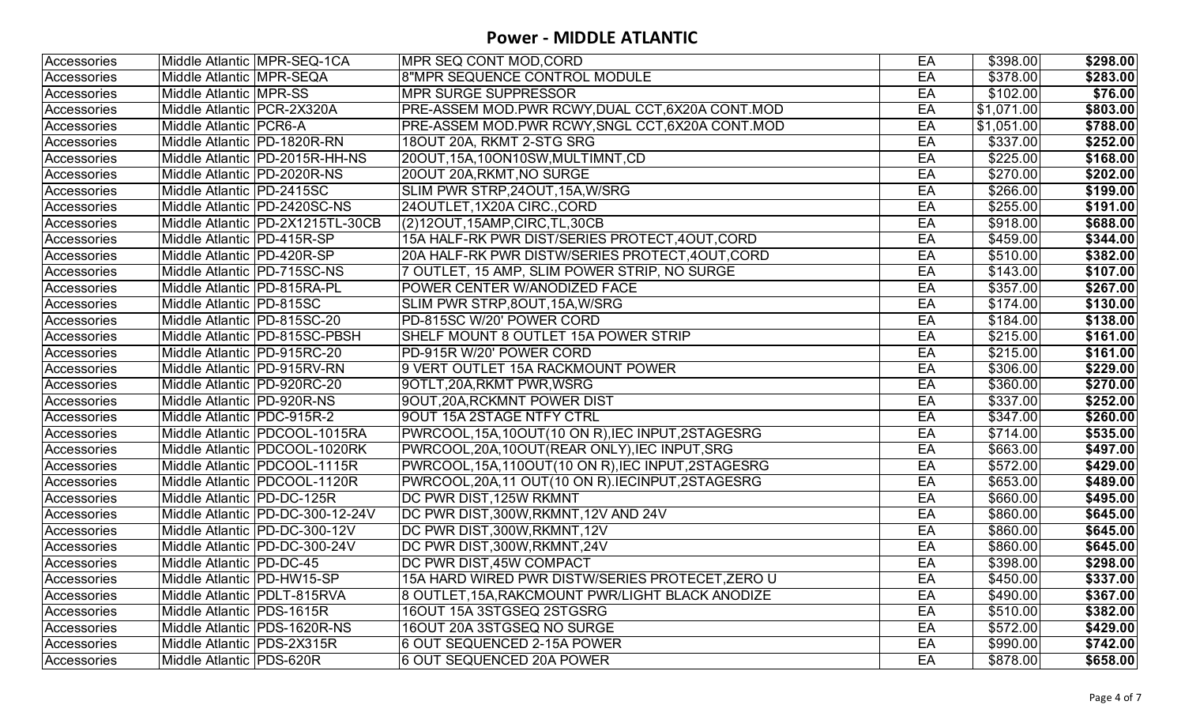| Accessories |                               | Middle Atlantic MPR-SEQ-1CA        | <b>IMPR SEQ CONT MOD, CORD</b>                      | EA | \$398.00         | \$298.00 |
|-------------|-------------------------------|------------------------------------|-----------------------------------------------------|----|------------------|----------|
| Accessories | Middle Atlantic   MPR-SEQA    |                                    | 8"MPR SEQUENCE CONTROL MODULE                       | EA | \$378.00         | \$283.00 |
| Accessories | Middle Atlantic   MPR-SS      |                                    | <b>MPR SURGE SUPPRESSOR</b>                         | EA | \$102.00         | \$76.00  |
| Accessories | Middle Atlantic   PCR-2X320A  |                                    | PRE-ASSEM MOD.PWR RCWY,DUAL CCT,6X20A CONT.MOD      | EA | \$1,071.00       | \$803.00 |
| Accessories | Middle Atlantic   PCR6-A      |                                    | PRE-ASSEM MOD.PWR RCWY, SNGL CCT, 6X20A CONT.MOD    | EA | \$1,051.00       | \$788.00 |
| Accessories | Middle Atlantic   PD-1820R-RN |                                    | 18OUT 20A, RKMT 2-STG SRG                           | EA | \$337.00         | \$252.00 |
| Accessories |                               | Middle Atlantic   PD-2015R-HH-NS   | 20OUT, 15A, 10ON10SW, MULTIMNT, CD                  | EA | \$225.00         | \$168.00 |
| Accessories | Middle Atlantic  PD-2020R-NS  |                                    | 20OUT 20A, RKMT, NO SURGE                           | EA | \$270.00         | \$202.00 |
| Accessories | Middle Atlantic   PD-2415SC   |                                    | SLIM PWR STRP, 240UT, 15A, W/SRG                    | EA | \$266.00         | \$199.00 |
| Accessories |                               | Middle Atlantic PD-2420SC-NS       | 24OUTLET, 1X20A CIRC., CORD                         | EA | \$255.00         | \$191.00 |
| Accessories |                               | Middle Atlantic   PD-2X1215TL-30CB | (2)120UT,15AMP,CIRC,TL,30CB                         | EA | \$918.00         | \$688.00 |
| Accessories | Middle Atlantic   PD-415R-SP  |                                    | 15A HALF-RK PWR DIST/SERIES PROTECT, 4OUT, CORD     | EA | \$459.00         | \$344.00 |
| Accessories | Middle Atlantic   PD-420R-SP  |                                    | 20A HALF-RK PWR DISTW/SERIES PROTECT, 4OUT, CORD    | EA | \$510.00         | \$382.00 |
| Accessories |                               | Middle Atlantic   PD-715SC-NS      | 7 OUTLET, 15 AMP, SLIM POWER STRIP, NO SURGE        | EA | \$143.00         | \$107.00 |
| Accessories | Middle Atlantic   PD-815RA-PL |                                    | POWER CENTER W/ANODIZED FACE                        | EA | \$357.00         | \$267.00 |
| Accessories | Middle Atlantic   PD-815SC    |                                    | SLIM PWR STRP,8OUT,15A,W/SRG                        | EA | \$174.00         | \$130.00 |
| Accessories | Middle Atlantic PD-815SC-20   |                                    | PD-815SC W/20' POWER CORD                           | EA | \$184.00         | \$138.00 |
| Accessories |                               | Middle Atlantic IPD-815SC-PBSH     | SHELF MOUNT 8 OUTLET 15A POWER STRIP                | EA | \$215.00         | \$161.00 |
| Accessories | Middle Atlantic   PD-915RC-20 |                                    | PD-915R W/20' POWER CORD                            | EA | \$215.00         | \$161.00 |
| Accessories |                               | Middle Atlantic  PD-915RV-RN       | 9 VERT OUTLET 15A RACKMOUNT POWER                   | EA | $\sqrt{$306.00}$ | \$229.00 |
| Accessories | Middle Atlantic   PD-920RC-20 |                                    | 90TLT,20A,RKMT PWR,WSRG                             | EA | \$360.00         | \$270.00 |
| Accessories | Middle Atlantic  PD-920R-NS   |                                    | 9OUT,20A,RCKMNT POWER DIST                          | EA | \$337.00         | \$252.00 |
| Accessories | Middle Atlantic   PDC-915R-2  |                                    | 90UT 15A 2STAGE NTFY CTRL                           | EA | \$347.00         | \$260.00 |
| Accessories |                               | Middle Atlantic   PDCOOL-1015RA    | PWRCOOL, 15A, 10OUT(10 ON R), IEC INPUT, 2STAGESRG  | EA | \$714.00         | \$535.00 |
| Accessories |                               | Middle Atlantic   PDCOOL-1020RK    | PWRCOOL,20A,10OUT(REAR ONLY), IEC INPUT, SRG        | EA | \$663.00         | \$497.00 |
| Accessories |                               | Middle Atlantic   PDCOOL-1115R     | PWRCOOL, 15A, 110OUT(10 ON R), IEC INPUT, 2STAGESRG | EA | \$572.00         | \$429.00 |
| Accessories |                               | Middle Atlantic   PDCOOL-1120R     | PWRCOOL, 20A, 11 OUT (10 ON R). IECINPUT, 2STAGESRG | EA | \$653.00         | \$489.00 |
| Accessories | Middle Atlantic   PD-DC-125R  |                                    | DC PWR DIST, 125W RKMNT                             | EA | \$660.00         | \$495.00 |
| Accessories |                               | Middle Atlantic   PD-DC-300-12-24V | DC PWR DIST, 300W, RKMNT, 12V AND 24V               | EA | \$860.00         | \$645.00 |
| Accessories |                               | Middle Atlantic PD-DC-300-12V      | DC PWR DIST, 300W, RKMNT, 12V                       | EA | \$860.00         | \$645.00 |
| Accessories |                               | Middle Atlantic   PD-DC-300-24V    | DC PWR DIST, 300W, RKMNT, 24V                       | EA | \$860.00         | \$645.00 |
| Accessories | Middle Atlantic   PD-DC-45    |                                    | <b>DC PWR DIST,45W COMPACT</b>                      | EA | \$398.00         | \$298.00 |
| Accessories | Middle Atlantic PD-HW15-SP    |                                    | 15A HARD WIRED PWR DISTW/SERIES PROTECET, ZERO U    | EA | \$450.00         | \$337.00 |
| Accessories |                               | Middle Atlantic   PDLT-815RVA      | 8 OUTLET, 15A, RAKCMOUNT PWR/LIGHT BLACK ANODIZE    | EA | \$490.00         | \$367.00 |
| Accessories | Middle Atlantic   PDS-1615R   |                                    | 16OUT 15A 3STGSEQ 2STGSRG                           | EA | \$510.00         | \$382.00 |
| Accessories |                               | Middle Atlantic   PDS-1620R-NS     | 16OUT 20A 3STGSEQ NO SURGE                          | EA | \$572.00         | \$429.00 |
| Accessories | Middle Atlantic   PDS-2X315R  |                                    | 6 OUT SEQUENCED 2-15A POWER                         | EA | \$990.00         | \$742.00 |
| Accessories | Middle Atlantic PDS-620R      |                                    | 6 OUT SEQUENCED 20A POWER                           | EA | \$878.00         | \$658.00 |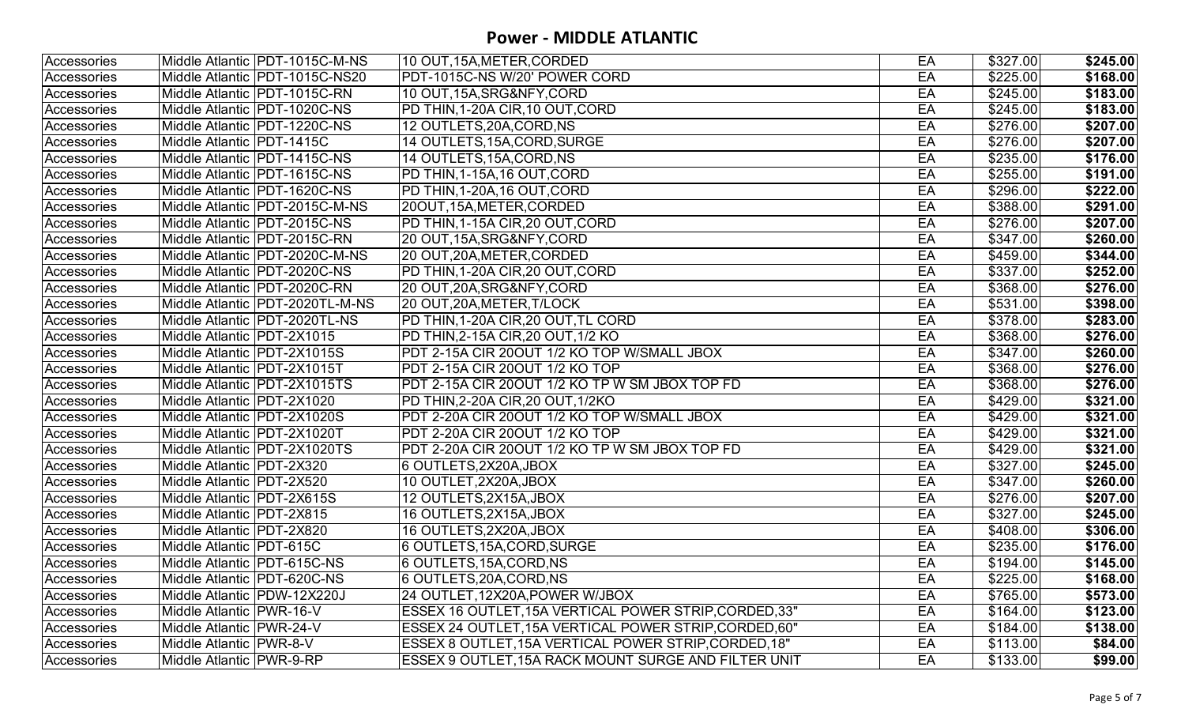| Accessories<br>EA<br>Middle Atlantic   PDT-1015C-M-NS<br>10 OUT, 15A, METER, CORDED<br>Accessories<br><b>PDT-1015C-NS W/20' POWER CORD</b><br>Middle Atlantic   PDT-1015C-NS20<br>EA<br>Accessories<br>10 OUT, 15A, SRG&NFY, CORD<br>Middle Atlantic PDT-1015C-RN<br>EA<br><b>PD THIN, 1-20A CIR, 10 OUT, CORD</b><br>EA<br>Middle Atlantic <b>PDT-1020C-NS</b><br>Accessories<br>EA<br>12 OUTLETS, 20A, CORD, NS<br>Middle Atlantic <b>PDT-1220C-NS</b><br>Accessories<br>Accessories<br>Middle Atlantic PDT-1415C<br>14 OUTLETS, 15A, CORD, SURGE<br>EA<br>14 OUTLETS, 15A, CORD, NS<br>Accessories<br>Middle Atlantic   PDT-1415C-NS<br>EA<br>EA<br>Middle Atlantic   PDT-1615C-NS<br>PD THIN,1-15A,16 OUT,CORD<br>Accessories<br>PD THIN, 1-20A, 16 OUT, CORD<br>Accessories<br>Middle Atlantic  PDT-1620C-NS<br>EA<br>20OUT, 15A, METER, CORDED<br>EA<br>Middle Atlantic   PDT-2015C-M-NS<br>Accessories<br>EA<br>Middle Atlantic   PDT-2015C-NS<br><b>PD THIN, 1-15A CIR, 20 OUT, CORD</b><br>Accessories<br>EA<br>Middle Atlantic   PDT-2015C-RN<br>20 OUT, 15A, SRG&NFY, CORD<br>Accessories<br>Accessories<br>EA<br>Middle Atlantic   PDT-2020C-M-NS<br>20 OUT, 20A, METER, CORDED<br>Accessories<br>EA<br>Middle Atlantic   PDT-2020C-NS<br><b>PD THIN, 1-20A CIR, 20 OUT, CORD</b><br>EA<br>Middle Atlantic PDT-2020C-RN<br>20 OUT, 20A, SRG&NFY, CORD<br>Accessories<br>Accessories<br>Middle Atlantic   PDT-2020TL-M-NS<br>20 OUT, 20A, METER, T/LOCK<br>EA<br><b>PD THIN, 1-20A CIR, 20 OUT, TL CORD</b><br>EA<br>Accessories<br>Middle Atlantic   PDT-2020TL-NS<br>EA<br>PD THIN, 2-15A CIR, 20 OUT, 1/2 KO<br>Middle Atlantic   PDT-2X1015<br>Accessories<br>Middle Atlantic   PDT-2X1015S<br>PDT 2-15A CIR 20OUT 1/2 KO TOP W/SMALL JBOX<br>EA<br>Accessories<br>EA<br>Accessories<br>PDT 2-15A CIR 20OUT 1/2 KO TOP<br>Middle Atlantic   PDT-2X1015T<br>EA<br>PDT 2-15A CIR 20OUT 1/2 KO TP W SM JBOX TOP FD<br>Accessories<br>Middle Atlantic <b>PDT-2X1015TS</b><br>EA<br>Middle Atlantic   PDT-2X1020<br>PD THIN,2-20A CIR,20 OUT,1/2KO<br>Accessories<br>Accessories<br>PDT 2-20A CIR 20OUT 1/2 KO TOP W/SMALL JBOX<br>EA<br>Middle Atlantic   PDT-2X1020S<br>Middle Atlantic   PDT-2X1020T<br><b>PDT 2-20A CIR 20OUT 1/2 KO TOP</b><br>EA<br>Accessories<br>EA<br>PDT 2-20A CIR 20OUT 1/2 KO TP W SM JBOX TOP FD<br>Middle Atlantic  PDT-2X1020TS<br>Accessories<br>EA<br>Accessories<br>Middle Atlantic   PDT-2X320<br>6 OUTLETS, 2X20A, JBOX<br>10 OUTLET, 2X20A, JBOX<br>EA<br>Middle Atlantic   PDT-2X520<br>Accessories<br>EA<br>Middle Atlantic   PDT-2X615S<br>12 OUTLETS, 2X15A, JBOX<br>Accessories<br>Middle Atlantic   PDT-2X815<br>16 OUTLETS, 2X15A, JBOX<br>EA<br>Accessories<br>Accessories<br>16 OUTLETS, 2X20A, JBOX<br>EA<br>Middle Atlantic   PDT-2X820<br>6 OUTLETS,15A,CORD,SURGE<br>EA<br>Middle Atlantic   PDT-615C<br>Accessories<br>EA<br>Middle Atlantic PDT-615C-NS<br>6 OUTLETS, 15A, CORD, NS<br>Accessories<br>Accessories<br>Middle Atlantic PDT-620C-NS<br>6 OUTLETS, 20A, CORD, NS<br>EA<br>EA<br>Accessories<br>Middle Atlantic   PDW-12X220J<br>24 OUTLET, 12X20A, POWER W/JBOX<br>Middle Atlantic   PWR-16-V<br>ESSEX 16 OUTLET, 15A VERTICAL POWER STRIP, CORDED, 33"<br>EA<br>Accessories |          |          |
|--------------------------------------------------------------------------------------------------------------------------------------------------------------------------------------------------------------------------------------------------------------------------------------------------------------------------------------------------------------------------------------------------------------------------------------------------------------------------------------------------------------------------------------------------------------------------------------------------------------------------------------------------------------------------------------------------------------------------------------------------------------------------------------------------------------------------------------------------------------------------------------------------------------------------------------------------------------------------------------------------------------------------------------------------------------------------------------------------------------------------------------------------------------------------------------------------------------------------------------------------------------------------------------------------------------------------------------------------------------------------------------------------------------------------------------------------------------------------------------------------------------------------------------------------------------------------------------------------------------------------------------------------------------------------------------------------------------------------------------------------------------------------------------------------------------------------------------------------------------------------------------------------------------------------------------------------------------------------------------------------------------------------------------------------------------------------------------------------------------------------------------------------------------------------------------------------------------------------------------------------------------------------------------------------------------------------------------------------------------------------------------------------------------------------------------------------------------------------------------------------------------------------------------------------------------------------------------------------------------------------------------------------------------------------------------------------------------------------------------------------------------------------------------------------------------------------------------------------------------------------------------------------------------------------------------------------------------------------------------------------------------------------------------------------------------------------------------------------------------------------------------------------------------------------------------------------------------------------------------------------------|----------|----------|
|                                                                                                                                                                                                                                                                                                                                                                                                                                                                                                                                                                                                                                                                                                                                                                                                                                                                                                                                                                                                                                                                                                                                                                                                                                                                                                                                                                                                                                                                                                                                                                                                                                                                                                                                                                                                                                                                                                                                                                                                                                                                                                                                                                                                                                                                                                                                                                                                                                                                                                                                                                                                                                                                                                                                                                                                                                                                                                                                                                                                                                                                                                                                                                                                                                                        | \$327.00 | \$245.00 |
|                                                                                                                                                                                                                                                                                                                                                                                                                                                                                                                                                                                                                                                                                                                                                                                                                                                                                                                                                                                                                                                                                                                                                                                                                                                                                                                                                                                                                                                                                                                                                                                                                                                                                                                                                                                                                                                                                                                                                                                                                                                                                                                                                                                                                                                                                                                                                                                                                                                                                                                                                                                                                                                                                                                                                                                                                                                                                                                                                                                                                                                                                                                                                                                                                                                        | \$225.00 | \$168.00 |
|                                                                                                                                                                                                                                                                                                                                                                                                                                                                                                                                                                                                                                                                                                                                                                                                                                                                                                                                                                                                                                                                                                                                                                                                                                                                                                                                                                                                                                                                                                                                                                                                                                                                                                                                                                                                                                                                                                                                                                                                                                                                                                                                                                                                                                                                                                                                                                                                                                                                                                                                                                                                                                                                                                                                                                                                                                                                                                                                                                                                                                                                                                                                                                                                                                                        | \$245.00 | \$183.00 |
|                                                                                                                                                                                                                                                                                                                                                                                                                                                                                                                                                                                                                                                                                                                                                                                                                                                                                                                                                                                                                                                                                                                                                                                                                                                                                                                                                                                                                                                                                                                                                                                                                                                                                                                                                                                                                                                                                                                                                                                                                                                                                                                                                                                                                                                                                                                                                                                                                                                                                                                                                                                                                                                                                                                                                                                                                                                                                                                                                                                                                                                                                                                                                                                                                                                        | \$245.00 | \$183.00 |
|                                                                                                                                                                                                                                                                                                                                                                                                                                                                                                                                                                                                                                                                                                                                                                                                                                                                                                                                                                                                                                                                                                                                                                                                                                                                                                                                                                                                                                                                                                                                                                                                                                                                                                                                                                                                                                                                                                                                                                                                                                                                                                                                                                                                                                                                                                                                                                                                                                                                                                                                                                                                                                                                                                                                                                                                                                                                                                                                                                                                                                                                                                                                                                                                                                                        | \$276.00 | \$207.00 |
|                                                                                                                                                                                                                                                                                                                                                                                                                                                                                                                                                                                                                                                                                                                                                                                                                                                                                                                                                                                                                                                                                                                                                                                                                                                                                                                                                                                                                                                                                                                                                                                                                                                                                                                                                                                                                                                                                                                                                                                                                                                                                                                                                                                                                                                                                                                                                                                                                                                                                                                                                                                                                                                                                                                                                                                                                                                                                                                                                                                                                                                                                                                                                                                                                                                        | \$276.00 | \$207.00 |
|                                                                                                                                                                                                                                                                                                                                                                                                                                                                                                                                                                                                                                                                                                                                                                                                                                                                                                                                                                                                                                                                                                                                                                                                                                                                                                                                                                                                                                                                                                                                                                                                                                                                                                                                                                                                                                                                                                                                                                                                                                                                                                                                                                                                                                                                                                                                                                                                                                                                                                                                                                                                                                                                                                                                                                                                                                                                                                                                                                                                                                                                                                                                                                                                                                                        | \$235.00 | \$176.00 |
|                                                                                                                                                                                                                                                                                                                                                                                                                                                                                                                                                                                                                                                                                                                                                                                                                                                                                                                                                                                                                                                                                                                                                                                                                                                                                                                                                                                                                                                                                                                                                                                                                                                                                                                                                                                                                                                                                                                                                                                                                                                                                                                                                                                                                                                                                                                                                                                                                                                                                                                                                                                                                                                                                                                                                                                                                                                                                                                                                                                                                                                                                                                                                                                                                                                        | \$255.00 | \$191.00 |
|                                                                                                                                                                                                                                                                                                                                                                                                                                                                                                                                                                                                                                                                                                                                                                                                                                                                                                                                                                                                                                                                                                                                                                                                                                                                                                                                                                                                                                                                                                                                                                                                                                                                                                                                                                                                                                                                                                                                                                                                                                                                                                                                                                                                                                                                                                                                                                                                                                                                                                                                                                                                                                                                                                                                                                                                                                                                                                                                                                                                                                                                                                                                                                                                                                                        | \$296.00 | \$222.00 |
|                                                                                                                                                                                                                                                                                                                                                                                                                                                                                                                                                                                                                                                                                                                                                                                                                                                                                                                                                                                                                                                                                                                                                                                                                                                                                                                                                                                                                                                                                                                                                                                                                                                                                                                                                                                                                                                                                                                                                                                                                                                                                                                                                                                                                                                                                                                                                                                                                                                                                                                                                                                                                                                                                                                                                                                                                                                                                                                                                                                                                                                                                                                                                                                                                                                        | \$388.00 | \$291.00 |
|                                                                                                                                                                                                                                                                                                                                                                                                                                                                                                                                                                                                                                                                                                                                                                                                                                                                                                                                                                                                                                                                                                                                                                                                                                                                                                                                                                                                                                                                                                                                                                                                                                                                                                                                                                                                                                                                                                                                                                                                                                                                                                                                                                                                                                                                                                                                                                                                                                                                                                                                                                                                                                                                                                                                                                                                                                                                                                                                                                                                                                                                                                                                                                                                                                                        | \$276.00 | \$207.00 |
|                                                                                                                                                                                                                                                                                                                                                                                                                                                                                                                                                                                                                                                                                                                                                                                                                                                                                                                                                                                                                                                                                                                                                                                                                                                                                                                                                                                                                                                                                                                                                                                                                                                                                                                                                                                                                                                                                                                                                                                                                                                                                                                                                                                                                                                                                                                                                                                                                                                                                                                                                                                                                                                                                                                                                                                                                                                                                                                                                                                                                                                                                                                                                                                                                                                        | \$347.00 | \$260.00 |
|                                                                                                                                                                                                                                                                                                                                                                                                                                                                                                                                                                                                                                                                                                                                                                                                                                                                                                                                                                                                                                                                                                                                                                                                                                                                                                                                                                                                                                                                                                                                                                                                                                                                                                                                                                                                                                                                                                                                                                                                                                                                                                                                                                                                                                                                                                                                                                                                                                                                                                                                                                                                                                                                                                                                                                                                                                                                                                                                                                                                                                                                                                                                                                                                                                                        | \$459.00 | \$344.00 |
|                                                                                                                                                                                                                                                                                                                                                                                                                                                                                                                                                                                                                                                                                                                                                                                                                                                                                                                                                                                                                                                                                                                                                                                                                                                                                                                                                                                                                                                                                                                                                                                                                                                                                                                                                                                                                                                                                                                                                                                                                                                                                                                                                                                                                                                                                                                                                                                                                                                                                                                                                                                                                                                                                                                                                                                                                                                                                                                                                                                                                                                                                                                                                                                                                                                        | \$337.00 | \$252.00 |
|                                                                                                                                                                                                                                                                                                                                                                                                                                                                                                                                                                                                                                                                                                                                                                                                                                                                                                                                                                                                                                                                                                                                                                                                                                                                                                                                                                                                                                                                                                                                                                                                                                                                                                                                                                                                                                                                                                                                                                                                                                                                                                                                                                                                                                                                                                                                                                                                                                                                                                                                                                                                                                                                                                                                                                                                                                                                                                                                                                                                                                                                                                                                                                                                                                                        | \$368.00 | \$276.00 |
|                                                                                                                                                                                                                                                                                                                                                                                                                                                                                                                                                                                                                                                                                                                                                                                                                                                                                                                                                                                                                                                                                                                                                                                                                                                                                                                                                                                                                                                                                                                                                                                                                                                                                                                                                                                                                                                                                                                                                                                                                                                                                                                                                                                                                                                                                                                                                                                                                                                                                                                                                                                                                                                                                                                                                                                                                                                                                                                                                                                                                                                                                                                                                                                                                                                        | \$531.00 | \$398.00 |
|                                                                                                                                                                                                                                                                                                                                                                                                                                                                                                                                                                                                                                                                                                                                                                                                                                                                                                                                                                                                                                                                                                                                                                                                                                                                                                                                                                                                                                                                                                                                                                                                                                                                                                                                                                                                                                                                                                                                                                                                                                                                                                                                                                                                                                                                                                                                                                                                                                                                                                                                                                                                                                                                                                                                                                                                                                                                                                                                                                                                                                                                                                                                                                                                                                                        | \$378.00 | \$283.00 |
|                                                                                                                                                                                                                                                                                                                                                                                                                                                                                                                                                                                                                                                                                                                                                                                                                                                                                                                                                                                                                                                                                                                                                                                                                                                                                                                                                                                                                                                                                                                                                                                                                                                                                                                                                                                                                                                                                                                                                                                                                                                                                                                                                                                                                                                                                                                                                                                                                                                                                                                                                                                                                                                                                                                                                                                                                                                                                                                                                                                                                                                                                                                                                                                                                                                        | \$368.00 | \$276.00 |
|                                                                                                                                                                                                                                                                                                                                                                                                                                                                                                                                                                                                                                                                                                                                                                                                                                                                                                                                                                                                                                                                                                                                                                                                                                                                                                                                                                                                                                                                                                                                                                                                                                                                                                                                                                                                                                                                                                                                                                                                                                                                                                                                                                                                                                                                                                                                                                                                                                                                                                                                                                                                                                                                                                                                                                                                                                                                                                                                                                                                                                                                                                                                                                                                                                                        | \$347.00 | \$260.00 |
|                                                                                                                                                                                                                                                                                                                                                                                                                                                                                                                                                                                                                                                                                                                                                                                                                                                                                                                                                                                                                                                                                                                                                                                                                                                                                                                                                                                                                                                                                                                                                                                                                                                                                                                                                                                                                                                                                                                                                                                                                                                                                                                                                                                                                                                                                                                                                                                                                                                                                                                                                                                                                                                                                                                                                                                                                                                                                                                                                                                                                                                                                                                                                                                                                                                        | \$368.00 | \$276.00 |
|                                                                                                                                                                                                                                                                                                                                                                                                                                                                                                                                                                                                                                                                                                                                                                                                                                                                                                                                                                                                                                                                                                                                                                                                                                                                                                                                                                                                                                                                                                                                                                                                                                                                                                                                                                                                                                                                                                                                                                                                                                                                                                                                                                                                                                                                                                                                                                                                                                                                                                                                                                                                                                                                                                                                                                                                                                                                                                                                                                                                                                                                                                                                                                                                                                                        | \$368.00 | \$276.00 |
|                                                                                                                                                                                                                                                                                                                                                                                                                                                                                                                                                                                                                                                                                                                                                                                                                                                                                                                                                                                                                                                                                                                                                                                                                                                                                                                                                                                                                                                                                                                                                                                                                                                                                                                                                                                                                                                                                                                                                                                                                                                                                                                                                                                                                                                                                                                                                                                                                                                                                                                                                                                                                                                                                                                                                                                                                                                                                                                                                                                                                                                                                                                                                                                                                                                        | \$429.00 | \$321.00 |
|                                                                                                                                                                                                                                                                                                                                                                                                                                                                                                                                                                                                                                                                                                                                                                                                                                                                                                                                                                                                                                                                                                                                                                                                                                                                                                                                                                                                                                                                                                                                                                                                                                                                                                                                                                                                                                                                                                                                                                                                                                                                                                                                                                                                                                                                                                                                                                                                                                                                                                                                                                                                                                                                                                                                                                                                                                                                                                                                                                                                                                                                                                                                                                                                                                                        | \$429.00 | \$321.00 |
|                                                                                                                                                                                                                                                                                                                                                                                                                                                                                                                                                                                                                                                                                                                                                                                                                                                                                                                                                                                                                                                                                                                                                                                                                                                                                                                                                                                                                                                                                                                                                                                                                                                                                                                                                                                                                                                                                                                                                                                                                                                                                                                                                                                                                                                                                                                                                                                                                                                                                                                                                                                                                                                                                                                                                                                                                                                                                                                                                                                                                                                                                                                                                                                                                                                        | \$429.00 | \$321.00 |
|                                                                                                                                                                                                                                                                                                                                                                                                                                                                                                                                                                                                                                                                                                                                                                                                                                                                                                                                                                                                                                                                                                                                                                                                                                                                                                                                                                                                                                                                                                                                                                                                                                                                                                                                                                                                                                                                                                                                                                                                                                                                                                                                                                                                                                                                                                                                                                                                                                                                                                                                                                                                                                                                                                                                                                                                                                                                                                                                                                                                                                                                                                                                                                                                                                                        | \$429.00 | \$321.00 |
|                                                                                                                                                                                                                                                                                                                                                                                                                                                                                                                                                                                                                                                                                                                                                                                                                                                                                                                                                                                                                                                                                                                                                                                                                                                                                                                                                                                                                                                                                                                                                                                                                                                                                                                                                                                                                                                                                                                                                                                                                                                                                                                                                                                                                                                                                                                                                                                                                                                                                                                                                                                                                                                                                                                                                                                                                                                                                                                                                                                                                                                                                                                                                                                                                                                        | \$327.00 | \$245.00 |
|                                                                                                                                                                                                                                                                                                                                                                                                                                                                                                                                                                                                                                                                                                                                                                                                                                                                                                                                                                                                                                                                                                                                                                                                                                                                                                                                                                                                                                                                                                                                                                                                                                                                                                                                                                                                                                                                                                                                                                                                                                                                                                                                                                                                                                                                                                                                                                                                                                                                                                                                                                                                                                                                                                                                                                                                                                                                                                                                                                                                                                                                                                                                                                                                                                                        | \$347.00 | \$260.00 |
|                                                                                                                                                                                                                                                                                                                                                                                                                                                                                                                                                                                                                                                                                                                                                                                                                                                                                                                                                                                                                                                                                                                                                                                                                                                                                                                                                                                                                                                                                                                                                                                                                                                                                                                                                                                                                                                                                                                                                                                                                                                                                                                                                                                                                                                                                                                                                                                                                                                                                                                                                                                                                                                                                                                                                                                                                                                                                                                                                                                                                                                                                                                                                                                                                                                        | \$276.00 | \$207.00 |
|                                                                                                                                                                                                                                                                                                                                                                                                                                                                                                                                                                                                                                                                                                                                                                                                                                                                                                                                                                                                                                                                                                                                                                                                                                                                                                                                                                                                                                                                                                                                                                                                                                                                                                                                                                                                                                                                                                                                                                                                                                                                                                                                                                                                                                                                                                                                                                                                                                                                                                                                                                                                                                                                                                                                                                                                                                                                                                                                                                                                                                                                                                                                                                                                                                                        | \$327.00 | \$245.00 |
|                                                                                                                                                                                                                                                                                                                                                                                                                                                                                                                                                                                                                                                                                                                                                                                                                                                                                                                                                                                                                                                                                                                                                                                                                                                                                                                                                                                                                                                                                                                                                                                                                                                                                                                                                                                                                                                                                                                                                                                                                                                                                                                                                                                                                                                                                                                                                                                                                                                                                                                                                                                                                                                                                                                                                                                                                                                                                                                                                                                                                                                                                                                                                                                                                                                        | \$408.00 | \$306.00 |
|                                                                                                                                                                                                                                                                                                                                                                                                                                                                                                                                                                                                                                                                                                                                                                                                                                                                                                                                                                                                                                                                                                                                                                                                                                                                                                                                                                                                                                                                                                                                                                                                                                                                                                                                                                                                                                                                                                                                                                                                                                                                                                                                                                                                                                                                                                                                                                                                                                                                                                                                                                                                                                                                                                                                                                                                                                                                                                                                                                                                                                                                                                                                                                                                                                                        | \$235.00 | \$176.00 |
|                                                                                                                                                                                                                                                                                                                                                                                                                                                                                                                                                                                                                                                                                                                                                                                                                                                                                                                                                                                                                                                                                                                                                                                                                                                                                                                                                                                                                                                                                                                                                                                                                                                                                                                                                                                                                                                                                                                                                                                                                                                                                                                                                                                                                                                                                                                                                                                                                                                                                                                                                                                                                                                                                                                                                                                                                                                                                                                                                                                                                                                                                                                                                                                                                                                        | \$194.00 | \$145.00 |
|                                                                                                                                                                                                                                                                                                                                                                                                                                                                                                                                                                                                                                                                                                                                                                                                                                                                                                                                                                                                                                                                                                                                                                                                                                                                                                                                                                                                                                                                                                                                                                                                                                                                                                                                                                                                                                                                                                                                                                                                                                                                                                                                                                                                                                                                                                                                                                                                                                                                                                                                                                                                                                                                                                                                                                                                                                                                                                                                                                                                                                                                                                                                                                                                                                                        | \$225.00 | \$168.00 |
|                                                                                                                                                                                                                                                                                                                                                                                                                                                                                                                                                                                                                                                                                                                                                                                                                                                                                                                                                                                                                                                                                                                                                                                                                                                                                                                                                                                                                                                                                                                                                                                                                                                                                                                                                                                                                                                                                                                                                                                                                                                                                                                                                                                                                                                                                                                                                                                                                                                                                                                                                                                                                                                                                                                                                                                                                                                                                                                                                                                                                                                                                                                                                                                                                                                        | \$765.00 | \$573.00 |
|                                                                                                                                                                                                                                                                                                                                                                                                                                                                                                                                                                                                                                                                                                                                                                                                                                                                                                                                                                                                                                                                                                                                                                                                                                                                                                                                                                                                                                                                                                                                                                                                                                                                                                                                                                                                                                                                                                                                                                                                                                                                                                                                                                                                                                                                                                                                                                                                                                                                                                                                                                                                                                                                                                                                                                                                                                                                                                                                                                                                                                                                                                                                                                                                                                                        | \$164.00 | \$123.00 |
| ESSEX 24 OUTLET, 15A VERTICAL POWER STRIP, CORDED, 60"<br>EA<br>Accessories<br>Middle Atlantic   PWR-24-V                                                                                                                                                                                                                                                                                                                                                                                                                                                                                                                                                                                                                                                                                                                                                                                                                                                                                                                                                                                                                                                                                                                                                                                                                                                                                                                                                                                                                                                                                                                                                                                                                                                                                                                                                                                                                                                                                                                                                                                                                                                                                                                                                                                                                                                                                                                                                                                                                                                                                                                                                                                                                                                                                                                                                                                                                                                                                                                                                                                                                                                                                                                                              | \$184.00 | \$138.00 |
| ESSEX 8 OUTLET, 15A VERTICAL POWER STRIP, CORDED, 18"<br>EA<br>Middle Atlantic   PWR-8-V<br>Accessories                                                                                                                                                                                                                                                                                                                                                                                                                                                                                                                                                                                                                                                                                                                                                                                                                                                                                                                                                                                                                                                                                                                                                                                                                                                                                                                                                                                                                                                                                                                                                                                                                                                                                                                                                                                                                                                                                                                                                                                                                                                                                                                                                                                                                                                                                                                                                                                                                                                                                                                                                                                                                                                                                                                                                                                                                                                                                                                                                                                                                                                                                                                                                | \$113.00 | \$84.00  |
| Middle Atlantic   PWR-9-RP<br>ESSEX 9 OUTLET, 15A RACK MOUNT SURGE AND FILTER UNIT<br>EA<br>Accessories                                                                                                                                                                                                                                                                                                                                                                                                                                                                                                                                                                                                                                                                                                                                                                                                                                                                                                                                                                                                                                                                                                                                                                                                                                                                                                                                                                                                                                                                                                                                                                                                                                                                                                                                                                                                                                                                                                                                                                                                                                                                                                                                                                                                                                                                                                                                                                                                                                                                                                                                                                                                                                                                                                                                                                                                                                                                                                                                                                                                                                                                                                                                                | \$133.00 | \$99.00  |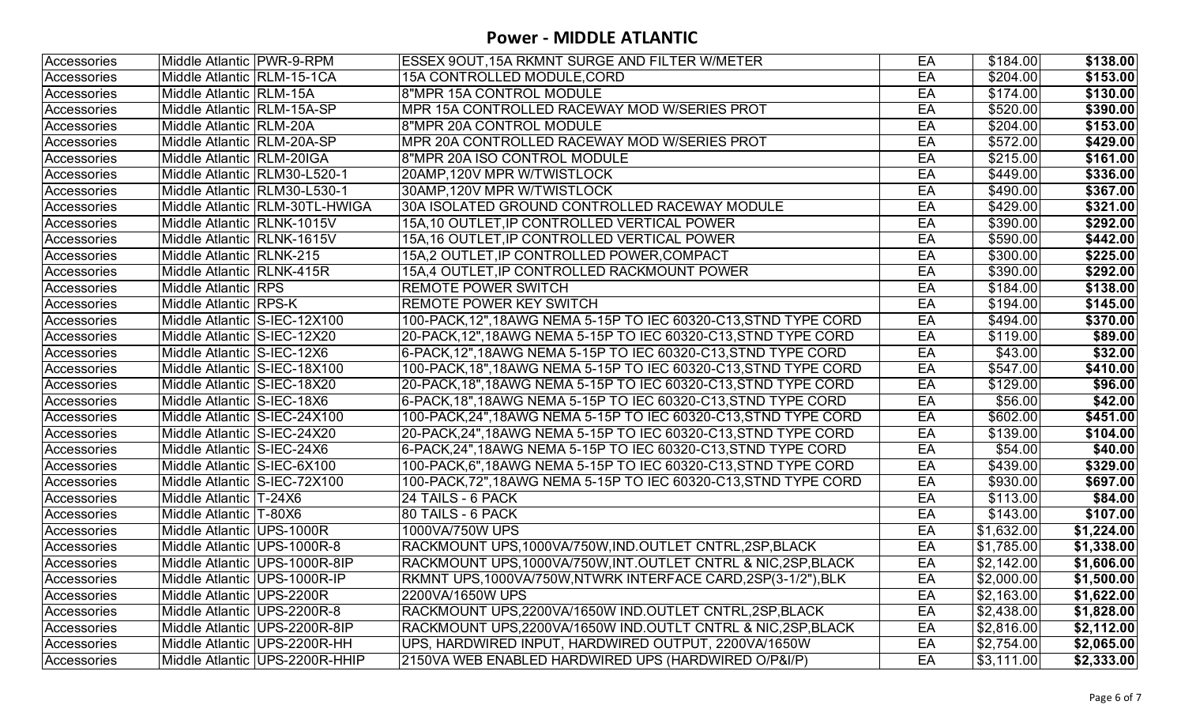| Accessories | Middle Atlantic   PWR-9-RPM   |                                 | <b>ESSEX 9OUT, 15A RKMNT SURGE AND FILTER W/METER</b>            | EA | \$184.00         | \$138.00   |
|-------------|-------------------------------|---------------------------------|------------------------------------------------------------------|----|------------------|------------|
| Accessories | Middle Atlantic   RLM-15-1CA  |                                 | 15A CONTROLLED MODULE,CORD                                       | EA | \$204.00         | \$153.00   |
| Accessories | Middle Atlantic RLM-15A       |                                 | 8"MPR 15A CONTROL MODULE                                         | EA | \$174.00         | \$130.00   |
| Accessories | Middle Atlantic   RLM-15A-SP  |                                 | MPR 15A CONTROLLED RACEWAY MOD W/SERIES PROT                     | EA | \$520.00         | \$390.00   |
| Accessories | Middle Atlantic   RLM-20A     |                                 | 8"MPR 20A CONTROL MODULE                                         | EA | \$204.00         | \$153.00   |
| Accessories | Middle Atlantic RLM-20A-SP    |                                 | MPR 20A CONTROLLED RACEWAY MOD W/SERIES PROT                     | EA | \$572.00         | \$429.00   |
| Accessories | Middle Atlantic   RLM-20IGA   |                                 | 8"MPR 20A ISO CONTROL MODULE                                     | EA | \$215.00         | \$161.00   |
| Accessories |                               | Middle Atlantic RLM30-L520-1    | 20AMP, 120V MPR W/TWISTLOCK                                      | EA | \$449.00         | \$336.00   |
| Accessories |                               | Middle Atlantic RLM30-L530-1    | 30AMP, 120V MPR W/TWISTLOCK                                      | EA | \$490.00         | \$367.00   |
| Accessories |                               | Middle Atlantic RLM-30TL-HWIGA  | 30A ISOLATED GROUND CONTROLLED RACEWAY MODULE                    | EA | \$429.00         | \$321.00   |
| Accessories | Middle Atlantic RLNK-1015V    |                                 | 15A,10 OUTLET,IP CONTROLLED VERTICAL POWER                       | EA | \$390.00         | \$292.00   |
| Accessories | Middle Atlantic RLNK-1615V    |                                 | 15A,16 OUTLET,IP CONTROLLED VERTICAL POWER                       | EA | \$590.00         | \$442.00   |
| Accessories | Middle Atlantic RLNK-215      |                                 | 15A,2 OUTLET, IP CONTROLLED POWER, COMPACT                       | EA | \$300.00         | \$225.00   |
| Accessories | Middle Atlantic   RLNK-415R   |                                 | 15A,4 OUTLET,IP CONTROLLED RACKMOUNT POWER                       | EA | \$390.00         | \$292.00   |
| Accessories | Middle Atlantic RPS           |                                 | <b>REMOTE POWER SWITCH</b>                                       | EA | \$184.00         | \$138.00   |
| Accessories | Middle Atlantic RPS-K         |                                 | <b>REMOTE POWER KEY SWITCH</b>                                   | EA | \$194.00         | \$145.00   |
| Accessories | Middle Atlantic S-IEC-12X100  |                                 | 100-PACK, 12", 18AWG NEMA 5-15P TO IEC 60320-C13, STND TYPE CORD | EA | \$494.00         | \$370.00   |
| Accessories | Middle Atlantic S-IEC-12X20   |                                 | 20-PACK, 12", 18AWG NEMA 5-15P TO IEC 60320-C13, STND TYPE CORD  | EA | \$119.00         | \$89.00    |
| Accessories | Middle Atlantic SS-IEC-12X6   |                                 |                                                                  | EA | \$43.00          | \$32.00    |
| Accessories | Middle Atlantic S-IEC-18X100  |                                 | 100-PACK, 18", 18AWG NEMA 5-15P TO IEC 60320-C13, STND TYPE CORD | EA | \$547.00         | \$410.00   |
| Accessories | Middle Atlantic S-IEC-18X20   |                                 |                                                                  | EA | $\sqrt{3129.00}$ | \$96.00    |
| Accessories | Middle Atlantic S-IEC-18X6    |                                 |                                                                  | EA | \$56.00          | \$42.00    |
| Accessories | Middle Atlantic S-IEC-24X100  |                                 | 100-PACK, 24", 18AWG NEMA 5-15P TO IEC 60320-C13, STND TYPE CORD | EA | \$602.00         | \$451.00   |
| Accessories | Middle Atlantic S-IEC-24X20   |                                 | 20-PACK,24",18AWG NEMA 5-15P TO IEC 60320-C13,STND TYPE CORD     | EA | \$139.00         | \$104.00   |
| Accessories | Middle Atlantic S-IEC-24X6    |                                 |                                                                  | EA | \$54.00          | \$40.00    |
| Accessories | Middle Atlantic S-IEC-6X100   |                                 | 100-PACK,6",18AWG NEMA 5-15P TO IEC 60320-C13,STND TYPE CORD     | EA | \$439.00         | \$329.00   |
| Accessories | Middle Atlantic S-IEC-72X100  |                                 |                                                                  | EA | \$930.00         | \$697.00   |
| Accessories | Middle Atlantic   T-24X6      |                                 | 24 TAILS - 6 PACK                                                | EA | \$113.00         | \$84.00    |
| Accessories | Middle Atlantic   T-80X6      |                                 | 80 TAILS - 6 PACK                                                | EA | \$143.00         | \$107.00   |
| Accessories | Middle Atlantic UPS-1000R     |                                 | 1000VA/750W UPS                                                  | EA | \$1,632.00       | \$1,224.00 |
| Accessories | Middle Atlantic UPS-1000R-8   |                                 | RACKMOUNT UPS,1000VA/750W,IND.OUTLET CNTRL,2SP,BLACK             | EA | \$1,785.00       | \$1,338.00 |
| Accessories |                               | Middle Atlantic   UPS-1000R-8IP | RACKMOUNT UPS,1000VA/750W,INT.OUTLET CNTRL & NIC,2SP,BLACK       | EA | \$2,142.00       | \$1,606.00 |
| Accessories | Middle Atlantic UPS-1000R-IP  |                                 | RKMNT UPS,1000VA/750W,NTWRK INTERFACE CARD,2SP(3-1/2"),BLK       | EA | \$2,000.00       | \$1,500.00 |
| Accessories | Middle Atlantic UPS-2200R     |                                 | 2200VA/1650W UPS                                                 | EA | \$2,163.00       | \$1,622.00 |
| Accessories | Middle Atlantic   UPS-2200R-8 |                                 | RACKMOUNT UPS,2200VA/1650W IND.OUTLET CNTRL,2SP,BLACK            | EA | \$2,438.00       | \$1,828.00 |
| Accessories |                               | Middle Atlantic   UPS-2200R-8IP | RACKMOUNT UPS.2200VA/1650W IND.OUTLT CNTRL & NIC.2SP.BLACK       | EA | \$2,816.00       | \$2,112.00 |
| Accessories |                               | Middle Atlantic UPS-2200R-HH    | UPS, HARDWIRED INPUT, HARDWIRED OUTPUT, 2200VA/1650W             | EA | \$2,754.00       | \$2,065.00 |
| Accessories |                               | Middle Atlantic UPS-2200R-HHIP  | 2150VA WEB ENABLED HARDWIRED UPS (HARDWIRED O/P&I/P)             | EA | \$3,111.00       | \$2,333.00 |